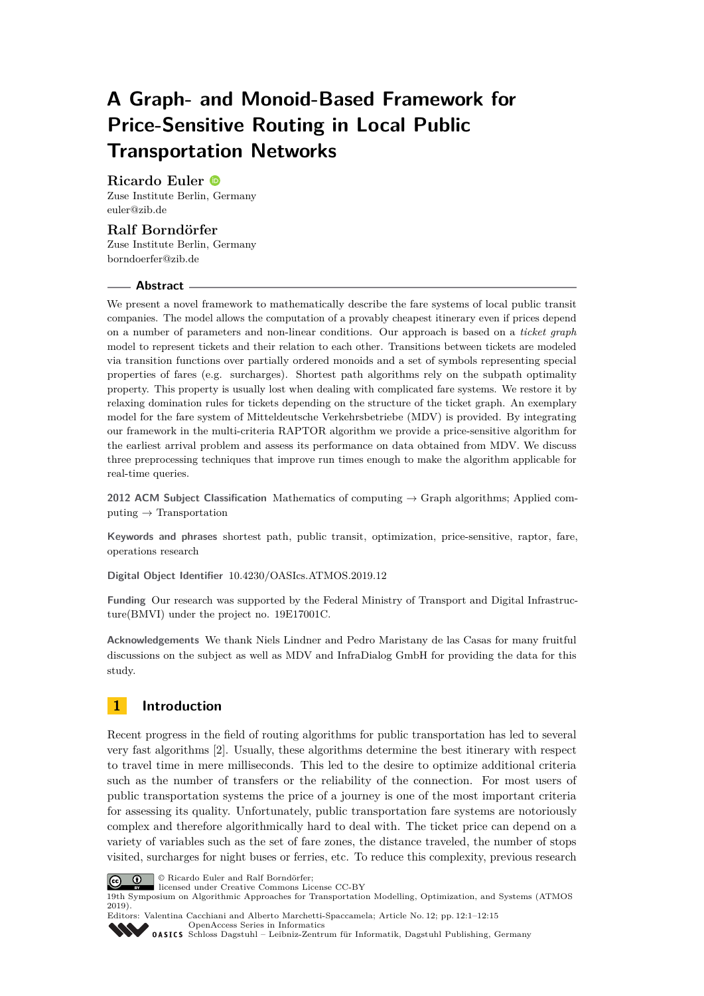# **A Graph- and Monoid-Based Framework for Price-Sensitive Routing in Local Public Transportation Networks**

# **Ricardo Euler**

Zuse Institute Berlin, Germany [euler@zib.de](mailto:euler@zib.de)

# **Ralf Borndörfer**

Zuse Institute Berlin, Germany [borndoerfer@zib.de](mailto:borndoerfer@zib.de)

### **Abstract**

We present a novel framework to mathematically describe the fare systems of local public transit companies. The model allows the computation of a provably cheapest itinerary even if prices depend on a number of parameters and non-linear conditions. Our approach is based on a *ticket graph* model to represent tickets and their relation to each other. Transitions between tickets are modeled via transition functions over partially ordered monoids and a set of symbols representing special properties of fares (e.g. surcharges). Shortest path algorithms rely on the subpath optimality property. This property is usually lost when dealing with complicated fare systems. We restore it by relaxing domination rules for tickets depending on the structure of the ticket graph. An exemplary model for the fare system of Mitteldeutsche Verkehrsbetriebe (MDV) is provided. By integrating our framework in the multi-criteria RAPTOR algorithm we provide a price-sensitive algorithm for the earliest arrival problem and assess its performance on data obtained from MDV. We discuss three preprocessing techniques that improve run times enough to make the algorithm applicable for real-time queries.

**2012 ACM Subject Classification** Mathematics of computing → Graph algorithms; Applied computing  $\rightarrow$  Transportation

**Keywords and phrases** shortest path, public transit, optimization, price-sensitive, raptor, fare, operations research

**Digital Object Identifier** [10.4230/OASIcs.ATMOS.2019.12](https://doi.org/10.4230/OASIcs.ATMOS.2019.12)

**Funding** Our research was supported by the Federal Ministry of Transport and Digital Infrastructure(BMVI) under the project no. 19E17001C.

**Acknowledgements** We thank Niels Lindner and Pedro Maristany de las Casas for many fruitful discussions on the subject as well as MDV and InfraDialog GmbH for providing the data for this study.

# **1 Introduction**

Recent progress in the field of routing algorithms for public transportation has led to several very fast algorithms [\[2\]](#page-12-0). Usually, these algorithms determine the best itinerary with respect to travel time in mere milliseconds. This led to the desire to optimize additional criteria such as the number of transfers or the reliability of the connection. For most users of public transportation systems the price of a journey is one of the most important criteria for assessing its quality. Unfortunately, public transportation fare systems are notoriously complex and therefore algorithmically hard to deal with. The ticket price can depend on a variety of variables such as the set of fare zones, the distance traveled, the number of stops visited, surcharges for night buses or ferries, etc. To reduce this complexity, previous research





licensed under Creative Commons License CC-BY

19th Symposium on Algorithmic Approaches for Transportation Modelling, Optimization, and Systems (ATMOS 2019).

Editors: Valentina Cacchiani and Alberto Marchetti-Spaccamela; Article No. 12; pp. 12:1–12[:15](#page-14-0) [OpenAccess Series in Informatics](https://www.dagstuhl.de/oasics/)



OASICS [Schloss Dagstuhl – Leibniz-Zentrum für Informatik, Dagstuhl Publishing, Germany](https://www.dagstuhl.de)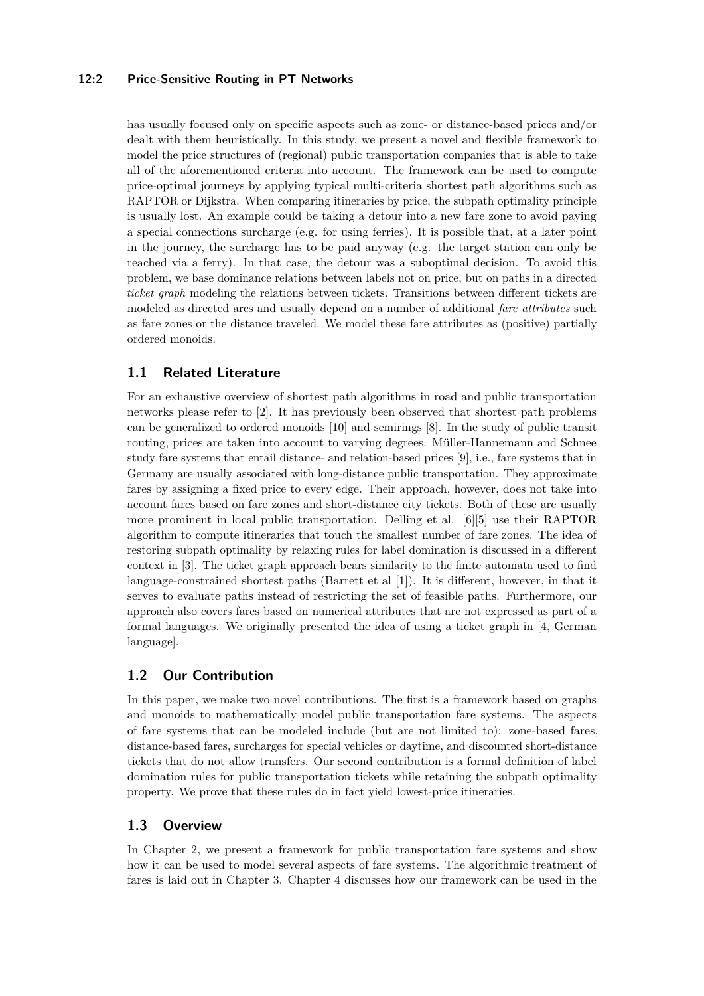## **12:2 Price-Sensitive Routing in PT Networks**

has usually focused only on specific aspects such as zone- or distance-based prices and/or dealt with them heuristically. In this study, we present a novel and flexible framework to model the price structures of (regional) public transportation companies that is able to take all of the aforementioned criteria into account. The framework can be used to compute price-optimal journeys by applying typical multi-criteria shortest path algorithms such as RAPTOR or Dijkstra. When comparing itineraries by price, the subpath optimality principle is usually lost. An example could be taking a detour into a new fare zone to avoid paying a special connections surcharge (e.g. for using ferries). It is possible that, at a later point in the journey, the surcharge has to be paid anyway (e.g. the target station can only be reached via a ferry). In that case, the detour was a suboptimal decision. To avoid this problem, we base dominance relations between labels not on price, but on paths in a directed *ticket graph* modeling the relations between tickets. Transitions between different tickets are modeled as directed arcs and usually depend on a number of additional *fare attributes* such as fare zones or the distance traveled. We model these fare attributes as (positive) partially ordered monoids.

# **1.1 Related Literature**

For an exhaustive overview of shortest path algorithms in road and public transportation networks please refer to [\[2\]](#page-12-0). It has previously been observed that shortest path problems can be generalized to ordered monoids [\[10\]](#page-12-1) and semirings [\[8\]](#page-12-2). In the study of public transit routing, prices are taken into account to varying degrees. Müller-Hannemann and Schnee study fare systems that entail distance- and relation-based prices [\[9\]](#page-12-3), i.e., fare systems that in Germany are usually associated with long-distance public transportation. They approximate fares by assigning a fixed price to every edge. Their approach, however, does not take into account fares based on fare zones and short-distance city tickets. Both of these are usually more prominent in local public transportation. Delling et al. [\[6\]](#page-12-4)[\[5\]](#page-12-5) use their RAPTOR algorithm to compute itineraries that touch the smallest number of fare zones. The idea of restoring subpath optimality by relaxing rules for label domination is discussed in a different context in [\[3\]](#page-12-6). The ticket graph approach bears similarity to the finite automata used to find language-constrained shortest paths (Barrett et al [\[1\]](#page-12-7)). It is different, however, in that it serves to evaluate paths instead of restricting the set of feasible paths. Furthermore, our approach also covers fares based on numerical attributes that are not expressed as part of a formal languages. We originally presented the idea of using a ticket graph in [\[4,](#page-12-8) German language].

# **1.2 Our Contribution**

In this paper, we make two novel contributions. The first is a framework based on graphs and monoids to mathematically model public transportation fare systems. The aspects of fare systems that can be modeled include (but are not limited to): zone-based fares, distance-based fares, surcharges for special vehicles or daytime, and discounted short-distance tickets that do not allow transfers. Our second contribution is a formal definition of label domination rules for public transportation tickets while retaining the subpath optimality property. We prove that these rules do in fact yield lowest-price itineraries.

# **1.3 Overview**

In Chapter 2, we present a framework for public transportation fare systems and show how it can be used to model several aspects of fare systems. The algorithmic treatment of fares is laid out in Chapter 3. Chapter 4 discusses how our framework can be used in the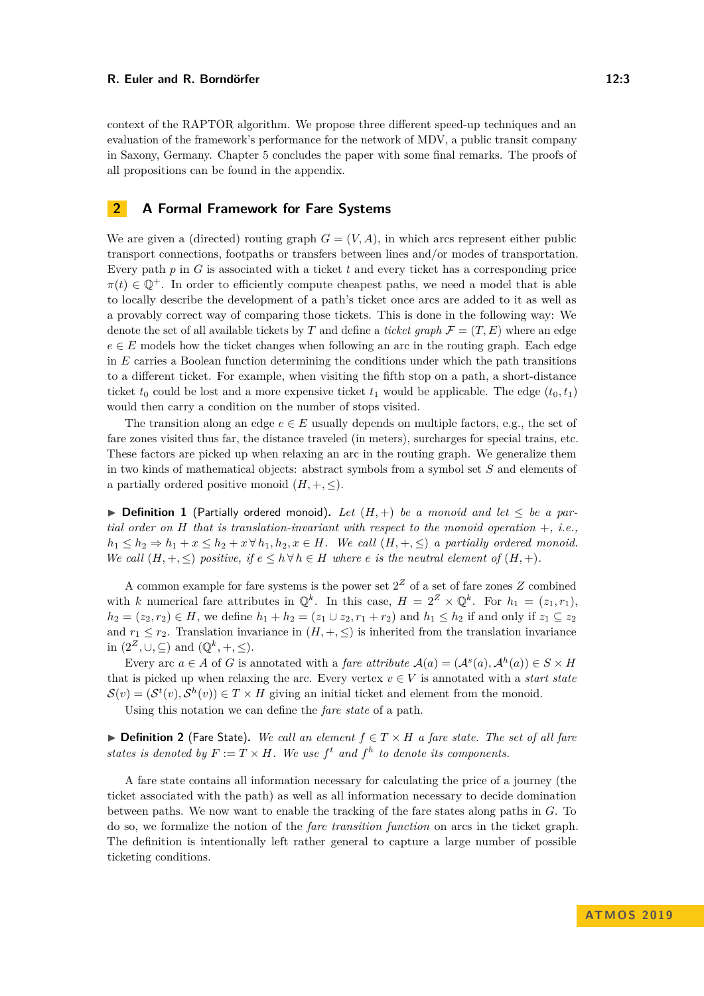context of the RAPTOR algorithm. We propose three different speed-up techniques and an evaluation of the framework's performance for the network of MDV, a public transit company in Saxony, Germany. Chapter 5 concludes the paper with some final remarks. The proofs of

## **2 A Formal Framework for Fare Systems**

all propositions can be found in the appendix.

We are given a (directed) routing graph  $G = (V, A)$ , in which arcs represent either public transport connections, footpaths or transfers between lines and/or modes of transportation. Every path *p* in *G* is associated with a ticket *t* and every ticket has a corresponding price  $\pi(t) \in \mathbb{Q}^+$ . In order to efficiently compute cheapest paths, we need a model that is able to locally describe the development of a path's ticket once arcs are added to it as well as a provably correct way of comparing those tickets. This is done in the following way: We denote the set of all available tickets by *T* and define a *ticket graph*  $\mathcal{F} = (T, E)$  where an edge  $e \in E$  models how the ticket changes when following an arc in the routing graph. Each edge in *E* carries a Boolean function determining the conditions under which the path transitions to a different ticket. For example, when visiting the fifth stop on a path, a short-distance ticket  $t_0$  could be lost and a more expensive ticket  $t_1$  would be applicable. The edge  $(t_0, t_1)$ would then carry a condition on the number of stops visited.

The transition along an edge  $e \in E$  usually depends on multiple factors, e.g., the set of fare zones visited thus far, the distance traveled (in meters), surcharges for special trains, etc. These factors are picked up when relaxing an arc in the routing graph. We generalize them in two kinds of mathematical objects: abstract symbols from a symbol set *S* and elements of a partially ordered positive monoid  $(H, +, \leq)$ .

▶ **Definition 1** (Partially ordered monoid). Let  $(H,+)$  be a monoid and let  $\leq$  be a par*tial order on H that is translation-invariant with respect to the monoid operation* +*, i.e.,*  $h_1 \leq h_2 \Rightarrow h_1 + x \leq h_2 + x \forall h_1, h_2, x \in H$ *. We call*  $(H, +, \leq)$  *a partially ordered monoid. We call*  $(H, +, \leq)$  *positive, if*  $e \leq h \forall h \in H$  *where e is the neutral element of*  $(H, +)$ *.* 

A common example for fare systems is the power set  $2<sup>Z</sup>$  of a set of fare zones  $Z$  combined with *k* numerical fare attributes in  $\mathbb{Q}^k$ . In this case,  $H = 2^Z \times \mathbb{Q}^k$ . For  $h_1 = (z_1, r_1)$ , *h*<sub>2</sub> = (*z*<sub>2</sub>*, r*<sub>2</sub>) ∈ *H*, we define *h*<sub>1</sub> + *h*<sub>2</sub> = (*z*<sub>1</sub> ∪ *z*<sub>2</sub>*, r*<sub>1</sub> + *r*<sub>2</sub>) and *h*<sub>1</sub> ≤ *h*<sub>2</sub> if and only if *z*<sub>1</sub> ⊆ *z*<sub>2</sub> and  $r_1 \leq r_2$ . Translation invariance in  $(H, +, \leq)$  is inherited from the translation invariance in  $(2^{\mathbb{Z}}, \cup, \subseteq)$  and  $(\mathbb{Q}^k, +, \leq)$ .

Every arc  $a \in A$  of *G* is annotated with a *fare attribute*  $\mathcal{A}(a) = (\mathcal{A}^s(a), \mathcal{A}^h(a)) \in S \times H$ that is picked up when relaxing the arc. Every vertex  $v \in V$  is annotated with a *start state*  $\mathcal{S}(v) = (\mathcal{S}^t(v), \mathcal{S}^h(v)) \in T \times H$  giving an initial ticket and element from the monoid.

Using this notation we can define the *fare state* of a path.

**► Definition 2** (Fare State). We call an element  $f \in T \times H$  a fare state. The set of all fare *states is denoted by*  $F := T \times H$ *. We use*  $f^t$  *and*  $f^h$  *to denote its components.* 

A fare state contains all information necessary for calculating the price of a journey (the ticket associated with the path) as well as all information necessary to decide domination between paths. We now want to enable the tracking of the fare states along paths in *G*. To do so, we formalize the notion of the *fare transition function* on arcs in the ticket graph. The definition is intentionally left rather general to capture a large number of possible ticketing conditions.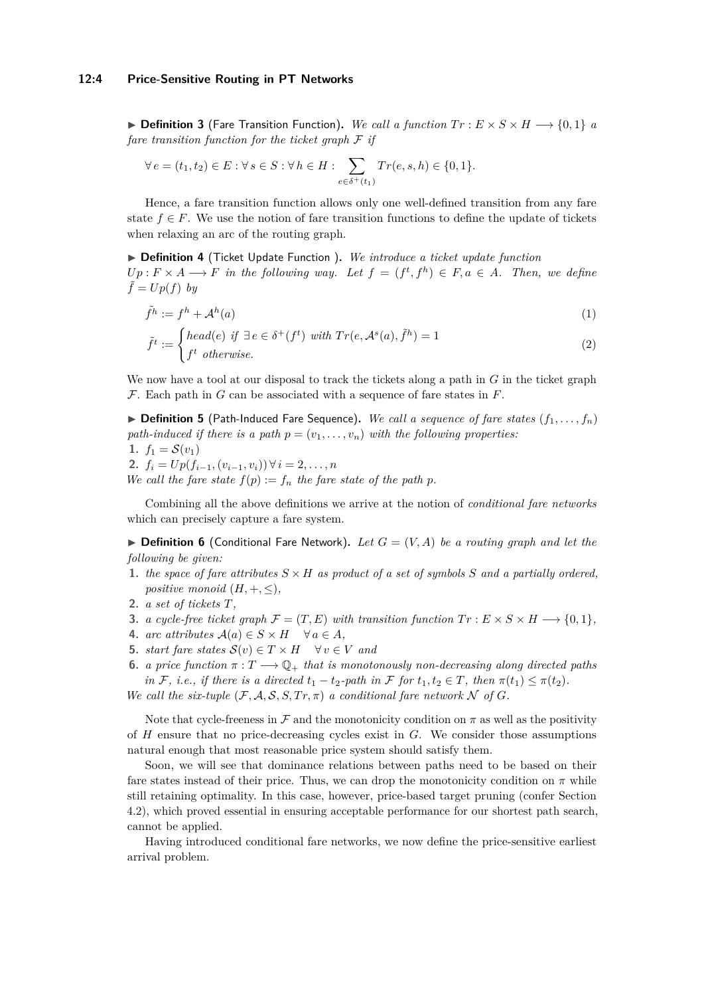**► Definition 3** (Fare Transition Function). We call a function  $Tr : E \times S \times H$  → {0, 1} *a fare transition function for the ticket graph* F *if*

$$
\forall e = (t_1, t_2) \in E : \forall s \in S : \forall h \in H : \sum_{e \in \delta^+(t_1)} Tr(e, s, h) \in \{0, 1\}.
$$

Hence, a fare transition function allows only one well-defined transition from any fare state  $f \in F$ . We use the notion of fare transition functions to define the update of tickets when relaxing an arc of the routing graph.

▶ Definition 4 (Ticket Update Function ). We introduce a ticket update function  $Up: F \times A \longrightarrow F$  *in the following way.* Let  $f = (f^t, f^h) \in F, a \in A$ . Then, we define  $\tilde{f} = Up(f)$  by

$$
\tilde{f}^h := f^h + \mathcal{A}^h(a) \tag{1}
$$

$$
\tilde{f}^t := \begin{cases} head(e) & \text{if } \exists e \in \delta^+(f^t) \text{ with } Tr(e, \mathcal{A}^s(a), \tilde{f}^h) = 1\\ f^t & otherwise. \end{cases} \tag{2}
$$

We now have a tool at our disposal to track the tickets along a path in  $G$  in the ticket graph F. Each path in *G* can be associated with a sequence of fare states in *F*.

 $\triangleright$  **Definition 5** (Path-Induced Fare Sequence). We call a sequence of fare states  $(f_1, \ldots, f_n)$ *path-induced if there is a path*  $p = (v_1, \ldots, v_n)$  *with the following properties:* **1.**  $f_1 = \mathcal{S}(v_1)$ 

2. 
$$
f_i = Up(f_{i-1}, (v_{i-1}, v_i)) \forall i = 2, ..., n
$$

We call the fare state  $f(p) := f_n$  the fare state of the path p.

Combining all the above definitions we arrive at the notion of *conditional fare networks* which can precisely capture a fare system.

 $\triangleright$  **Definition 6** (Conditional Fare Network). Let  $G = (V, A)$  be a routing graph and let the *following be given:*

- **1.** *the space of fare attributes*  $S \times H$  *as product of a set of symbols S and a partially ordered, positive monoid*  $(H, +, \leq),$
- **2.** *a set of tickets T,*
- **3.** *a cycle-free ticket graph*  $\mathcal{F} = (T, E)$  *with transition function*  $Tr : E \times S \times H \longrightarrow \{0, 1\}$ *,*
- **4.** *arc attributes*  $A(a) \in S \times H$   $\forall a \in A$ *,*
- **5.** *start fare states*  $S(v) \in T \times H$   $\forall v \in V$  *and*
- **6.** *a price function*  $\pi: T \longrightarrow \mathbb{Q}_+$  *that is monotonously non-decreasing along directed paths in* F, *i.e.*, *if there is a directed*  $t_1 - t_2$ -path *in* F for  $t_1, t_2 \in T$ , *then*  $\pi(t_1) \leq \pi(t_2)$ *. We call the six-tuple*  $(F, A, S, S, Tr, \pi)$  *a conditional fare network*  $N$  *of*  $G$ *.*

Note that cycle-freeness in F and the monotonicity condition on  $\pi$  as well as the positivity of *H* ensure that no price-decreasing cycles exist in *G*. We consider those assumptions natural enough that most reasonable price system should satisfy them.

Soon, we will see that dominance relations between paths need to be based on their fare states instead of their price. Thus, we can drop the monotonicity condition on  $\pi$  while still retaining optimality. In this case, however, price-based target pruning (confer Section [4.2\)](#page-9-0), which proved essential in ensuring acceptable performance for our shortest path search, cannot be applied.

Having introduced conditional fare networks, we now define the price-sensitive earliest arrival problem.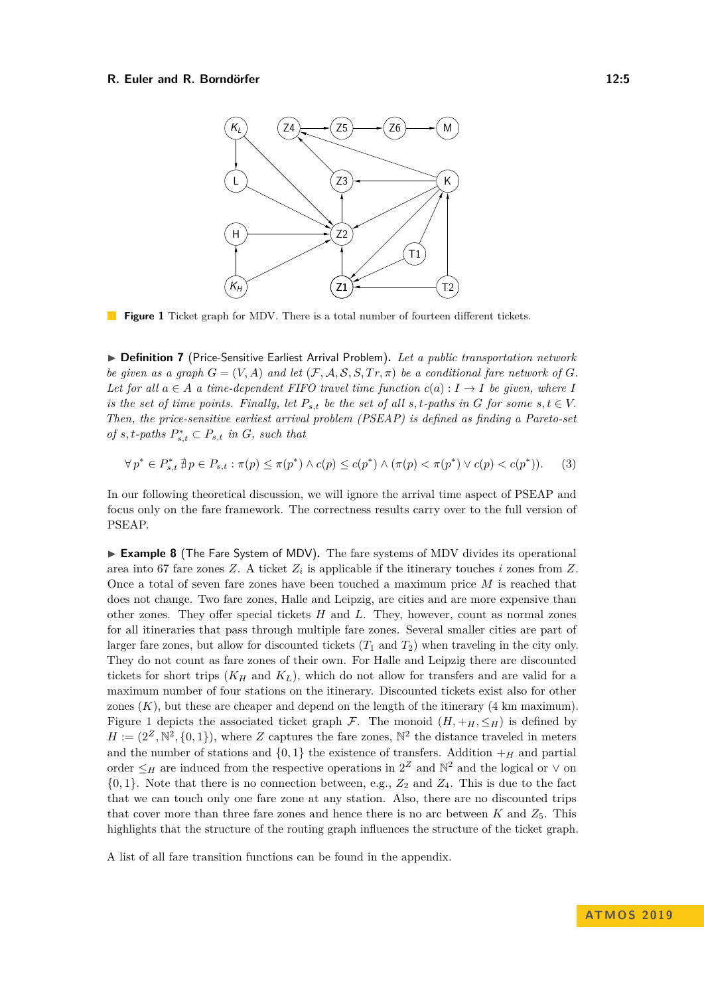#### <span id="page-4-0"></span>**R. Euler and R. Borndörfer 12:5** and 12:5



**Figure 1** Ticket graph for MDV. There is a total number of fourteen different tickets.

I **Definition 7** (Price-Sensitive Earliest Arrival Problem)**.** *Let a public transportation network be given as a graph*  $G = (V, A)$  *and let*  $(F, A, S, S, Tr, \pi)$  *be a conditional fare network of*  $G$ *. Let for all*  $a \in A$  *a time-dependent FIFO travel time function*  $c(a): I \rightarrow I$  *be given, where I is the set of time points. Finally, let*  $P_{s,t}$  *be the set of all*  $s,t$ *-paths in*  $G$  *for some*  $s,t \in V$ . *Then, the price-sensitive earliest arrival problem (PSEAP) is defined as finding a Pareto-set*  $of s, t$ -paths  $P_{s,t}^* \subset P_{s,t}$  *in*  $G$ *, such that* 

$$
\forall p^* \in P^*_{s,t} \nexists p \in P_{s,t} : \pi(p) \le \pi(p^*) \land c(p) \le c(p^*) \land (\pi(p) < \pi(p^*) \lor c(p) < c(p^*)). \tag{3}
$$

In our following theoretical discussion, we will ignore the arrival time aspect of PSEAP and focus only on the fare framework. The correctness results carry over to the full version of PSEAP.

► **Example 8** (The Fare System of MDV). The fare systems of MDV divides its operational area into 67 fare zones *Z*. A ticket *Z<sup>i</sup>* is applicable if the itinerary touches *i* zones from *Z*. Once a total of seven fare zones have been touched a maximum price *M* is reached that does not change. Two fare zones, Halle and Leipzig, are cities and are more expensive than other zones. They offer special tickets *H* and *L*. They, however, count as normal zones for all itineraries that pass through multiple fare zones. Several smaller cities are part of larger fare zones, but allow for discounted tickets  $(T_1 \text{ and } T_2)$  when traveling in the city only. They do not count as fare zones of their own. For Halle and Leipzig there are discounted tickets for short trips  $(K_H \text{ and } K_L)$ , which do not allow for transfers and are valid for a maximum number of four stations on the itinerary. Discounted tickets exist also for other zones  $(K)$ , but these are cheaper and depend on the length of the itinerary  $(4 \text{ km maximum})$ . Figure [1](#page-4-0) depicts the associated ticket graph  $\mathcal{F}$ . The monoid  $(H, +_H, \leq_H)$  is defined by  $H := (2^Z, \mathbb{N}^2, \{0, 1\}),$  where *Z* captures the fare zones,  $\mathbb{N}^2$  the distance traveled in meters and the number of stations and  $\{0, 1\}$  the existence of transfers. Addition  $+$ <sub>*H*</sub> and partial order  $\leq_H$  are induced from the respective operations in  $2^Z$  and  $\mathbb{N}^2$  and the logical or  $\vee$  on  $\{0,1\}$ . Note that there is no connection between, e.g.,  $Z_2$  and  $Z_4$ . This is due to the fact that we can touch only one fare zone at any station. Also, there are no discounted trips that cover more than three fare zones and hence there is no arc between  $K$  and  $Z_5$ . This highlights that the structure of the routing graph influences the structure of the ticket graph.

A list of all fare transition functions can be found in the appendix.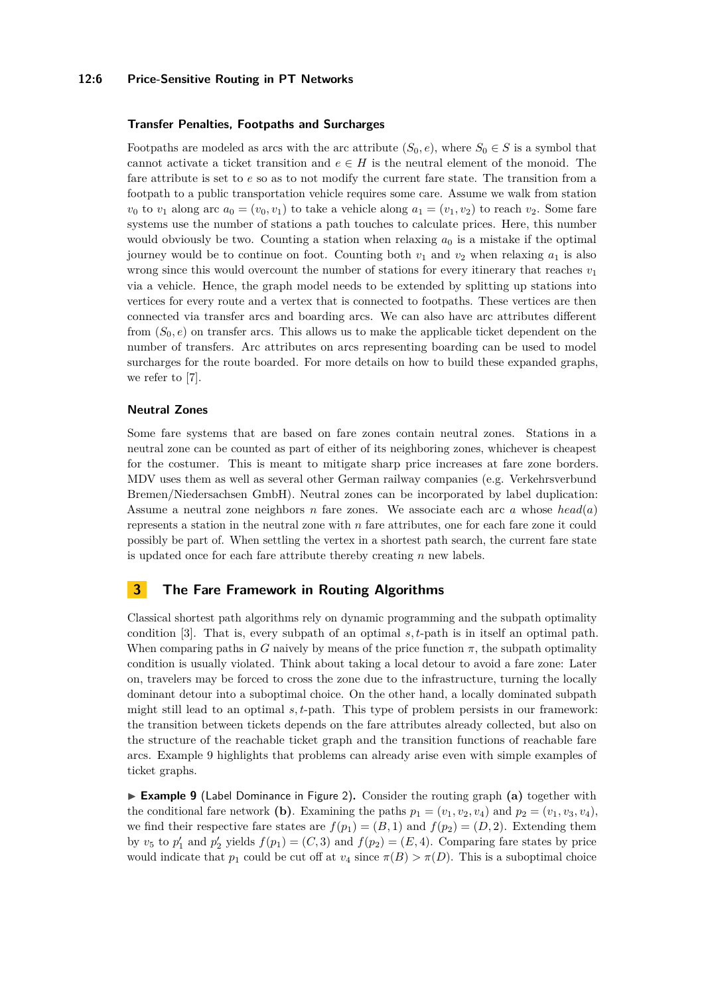#### **12:6 Price-Sensitive Routing in PT Networks**

#### **Transfer Penalties, Footpaths and Surcharges**

Footpaths are modeled as arcs with the arc attribute  $(S_0, e)$ , where  $S_0 \in S$  is a symbol that cannot activate a ticket transition and  $e \in H$  is the neutral element of the monoid. The fare attribute is set to *e* so as to not modify the current fare state. The transition from a footpath to a public transportation vehicle requires some care. Assume we walk from station  $v_0$  to  $v_1$  along arc  $a_0 = (v_0, v_1)$  to take a vehicle along  $a_1 = (v_1, v_2)$  to reach  $v_2$ . Some fare systems use the number of stations a path touches to calculate prices. Here, this number would obviously be two. Counting a station when relaxing  $a_0$  is a mistake if the optimal journey would be to continue on foot. Counting both  $v_1$  and  $v_2$  when relaxing  $a_1$  is also wrong since this would overcount the number of stations for every itinerary that reaches  $v_1$ via a vehicle. Hence, the graph model needs to be extended by splitting up stations into vertices for every route and a vertex that is connected to footpaths. These vertices are then connected via transfer arcs and boarding arcs. We can also have arc attributes different from  $(S_0, e)$  on transfer arcs. This allows us to make the applicable ticket dependent on the number of transfers. Arc attributes on arcs representing boarding can be used to model surcharges for the route boarded. For more details on how to build these expanded graphs, we refer to [\[7\]](#page-12-9).

#### **Neutral Zones**

Some fare systems that are based on fare zones contain neutral zones. Stations in a neutral zone can be counted as part of either of its neighboring zones, whichever is cheapest for the costumer. This is meant to mitigate sharp price increases at fare zone borders. MDV uses them as well as several other German railway companies (e.g. Verkehrsverbund Bremen/Niedersachsen GmbH). Neutral zones can be incorporated by label duplication: Assume a neutral zone neighbors *n* fare zones. We associate each arc *a* whose *head*(*a*) represents a station in the neutral zone with *n* fare attributes, one for each fare zone it could possibly be part of. When settling the vertex in a shortest path search, the current fare state is updated once for each fare attribute thereby creating *n* new labels.

# **3 The Fare Framework in Routing Algorithms**

Classical shortest path algorithms rely on dynamic programming and the subpath optimality condition [\[3\]](#page-12-6). That is, every subpath of an optimal *s, t*-path is in itself an optimal path. When comparing paths in *G* naively by means of the price function  $\pi$ , the subpath optimality condition is usually violated. Think about taking a local detour to avoid a fare zone: Later on, travelers may be forced to cross the zone due to the infrastructure, turning the locally dominant detour into a suboptimal choice. On the other hand, a locally dominated subpath might still lead to an optimal *s, t*-path. This type of problem persists in our framework: the transition between tickets depends on the fare attributes already collected, but also on the structure of the reachable ticket graph and the transition functions of reachable fare arcs. Example [9](#page-5-0) highlights that problems can already arise even with simple examples of ticket graphs.

<span id="page-5-0"></span>► **Example 9** (Label Dominance in Figure [2\)](#page-6-0). Consider the routing graph (a) together with the conditional fare network **(b)**. Examining the paths  $p_1 = (v_1, v_2, v_4)$  and  $p_2 = (v_1, v_3, v_4)$ , we find their respective fare states are  $f(p_1) = (B, 1)$  and  $f(p_2) = (D, 2)$ . Extending them by  $v_5$  to  $p'_1$  and  $p'_2$  yields  $f(p_1) = (C, 3)$  and  $f(p_2) = (E, 4)$ . Comparing fare states by price would indicate that  $p_1$  could be cut off at  $v_4$  since  $\pi(B) > \pi(D)$ . This is a suboptimal choice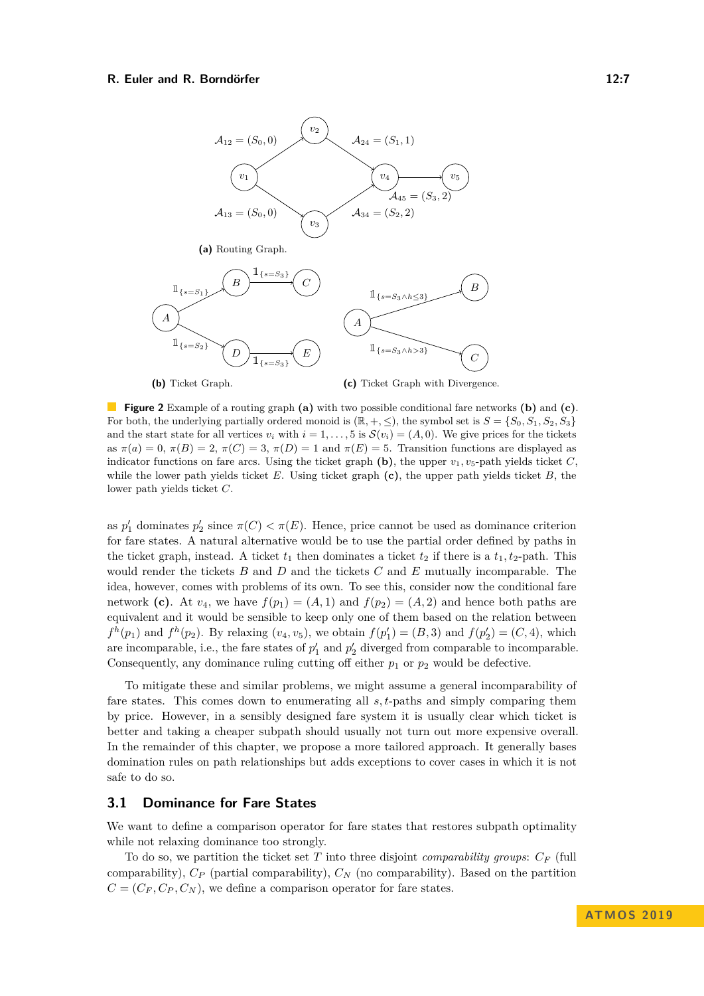#### **R. Euler and R. Borndörfer 12:7 12:7**

<span id="page-6-0"></span>

**Figure 2** Example of a routing graph **(a)** with two possible conditional fare networks **(b)** and **(c)**. For both, the underlying partially ordered monoid is  $(\mathbb{R}, +, \leq)$ , the symbol set is  $S = \{S_0, S_1, S_2, S_3\}$ and the start state for all vertices  $v_i$  with  $i = 1, \ldots, 5$  is  $\mathcal{S}(v_i) = (A, 0)$ . We give prices for the tickets as  $\pi(a) = 0$ ,  $\pi(B) = 2$ ,  $\pi(C) = 3$ ,  $\pi(D) = 1$  and  $\pi(E) = 5$ . Transition functions are displayed as indicator functions on fare arcs. Using the ticket graph  $(b)$ , the upper  $v_1, v_5$ -path yields ticket *C*, while the lower path yields ticket *E*. Using ticket graph **(c)**, the upper path yields ticket *B*, the lower path yields ticket *C*.

as  $p'_1$  dominates  $p'_2$  since  $\pi(C) < \pi(E)$ . Hence, price cannot be used as dominance criterion for fare states. A natural alternative would be to use the partial order defined by paths in the ticket graph, instead. A ticket  $t_1$  then dominates a ticket  $t_2$  if there is a  $t_1, t_2$ -path. This would render the tickets *B* and *D* and the tickets *C* and *E* mutually incomparable. The idea, however, comes with problems of its own. To see this, consider now the conditional fare network (c). At  $v_4$ , we have  $f(p_1) = (A, 1)$  and  $f(p_2) = (A, 2)$  and hence both paths are equivalent and it would be sensible to keep only one of them based on the relation between  $f^h(p_1)$  and  $f^h(p_2)$ . By relaxing  $(v_4, v_5)$ , we obtain  $f(p'_1) = (B, 3)$  and  $f(p'_2) = (C, 4)$ , which are incomparable, i.e., the fare states of  $p'_1$  and  $p'_2$  diverged from comparable to incomparable. Consequently, any dominance ruling cutting off either *p*<sup>1</sup> or *p*<sup>2</sup> would be defective.

To mitigate these and similar problems, we might assume a general incomparability of fare states. This comes down to enumerating all *s, t*-paths and simply comparing them by price. However, in a sensibly designed fare system it is usually clear which ticket is better and taking a cheaper subpath should usually not turn out more expensive overall. In the remainder of this chapter, we propose a more tailored approach. It generally bases domination rules on path relationships but adds exceptions to cover cases in which it is not safe to do so.

#### **3.1 Dominance for Fare States**

We want to define a comparison operator for fare states that restores subpath optimality while not relaxing dominance too strongly.

To do so, we partition the ticket set *T* into three disjoint *comparability groups*: *C<sup>F</sup>* (full comparability), *C<sup>P</sup>* (partial comparability), *C<sup>N</sup>* (no comparability). Based on the partition  $C = (C_F, C_P, C_N)$ , we define a comparison operator for fare states.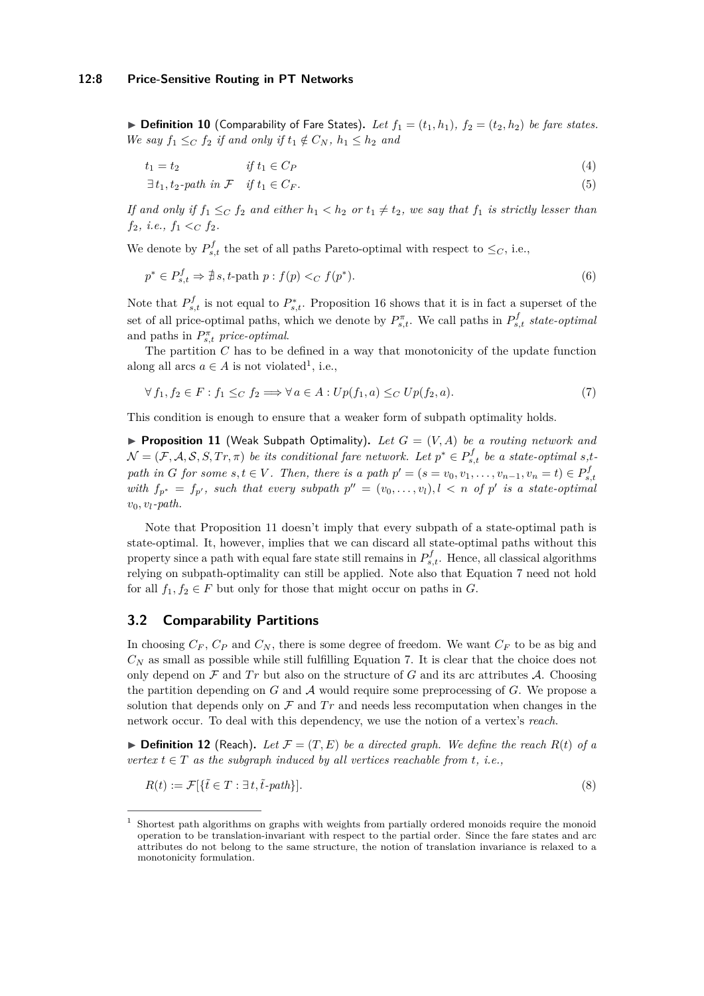<span id="page-7-3"></span> $\triangleright$  **Definition 10** (Comparability of Fare States). Let  $f_1 = (t_1, h_1)$ ,  $f_2 = (t_2, h_2)$  be fare states. *We say*  $f_1 \leq_C f_2$  *if and only if*  $t_1 \notin C_N$ ,  $h_1 \leq h_2$  *and* 

*t*<sup>1</sup> = *t*<sup>2</sup> *if t*<sup>1</sup> ∈ *C<sup>P</sup>* (4) ∃ *t*1*, t*2*-path in* F *if t*<sup>1</sup> ∈ *C<sup>F</sup> .* (5)

*If and only if*  $f_1 \leq_C f_2$  *and either*  $h_1 < h_2$  *or*  $t_1 \neq t_2$ *, we say that*  $f_1$  *is strictly lesser than* 

*f*<sub>2</sub>*, i.e.,*  $f_1 \leq_C f_2$ *.* 

We denote by  $P_{s,t}^f$  the set of all paths Pareto-optimal with respect to  $\leq_C$ , i.e.,

$$
p^* \in P_{s,t}^f \Rightarrow \nexists s, t\text{-path } p: f(p) <_{C} f(p^*). \tag{6}
$$

Note that  $P_{s,t}^f$  is not equal to  $P_{s,t}^*$ . Proposition [16](#page-8-0) shows that it is in fact a superset of the set of all price-optimal paths, which we denote by  $P_{s,t}^{\pi}$ . We call paths in  $P_{s,t}^{f}$  *state-optimal* and paths in  $P_{s,t}^{\pi}$  *price-optimal.* 

The partition *C* has to be defined in a way that monotonicity of the update function along all arcs  $a \in A$  is not violated<sup>[1](#page-7-0)</sup>, i.e.,

<span id="page-7-2"></span>
$$
\forall f_1, f_2 \in F : f_1 \leq_C f_2 \Longrightarrow \forall a \in A : Up(f_1, a) \leq_C Up(f_2, a). \tag{7}
$$

This condition is enough to ensure that a weaker form of subpath optimality holds.

<span id="page-7-1"></span>**Proposition 11** (Weak Subpath Optimality). Let  $G = (V, A)$  be a routing network and  $\mathcal{N} = (\mathcal{F}, \mathcal{A}, \mathcal{S}, S, Tr, \pi)$  *be its conditional fare network. Let*  $p^* \in P_{s,t}^f$  *be a state-optimal s,t* path in G for some  $s, t \in V$ . Then, there is a path  $p' = (s = v_0, v_1, \ldots, v_{n-1}, v_n = t) \in P_{s,t}^f$ *with*  $f_{p^*} = f_{p'}$ , such that every subpath  $p'' = (v_0, \ldots, v_l)$ ,  $l \lt n$  of  $p'$  is a state-optimal  $v_0, v_l$ *-path.* 

Note that Proposition [11](#page-7-1) doesn't imply that every subpath of a state-optimal path is state-optimal. It, however, implies that we can discard all state-optimal paths without this property since a path with equal fare state still remains in  $P_{s,t}^f$ . Hence, all classical algorithms relying on subpath-optimality can still be applied. Note also that Equation [7](#page-7-2) need not hold for all  $f_1, f_2 \in F$  but only for those that might occur on paths in *G*.

#### **3.2 Comparability Partitions**

In choosing  $C_F$ ,  $C_P$  and  $C_N$ , there is some degree of freedom. We want  $C_F$  to be as big and  $C_N$  as small as possible while still fulfilling Equation [7.](#page-7-2) It is clear that the choice does not only depend on  $\mathcal F$  and  $Tr$  but also on the structure of  $G$  and its arc attributes  $\mathcal A$ . Choosing the partition depending on *G* and A would require some preprocessing of *G*. We propose a solution that depends only on  $\mathcal F$  and  $Tr$  and needs less recomputation when changes in the network occur. To deal with this dependency, we use the notion of a vertex's *reach*.

 $\blacktriangleright$  **Definition 12** (Reach). Let  $\mathcal{F} = (T, E)$  be a directed graph. We define the reach  $R(t)$  of a *vertex*  $t \in T$  *as the subgraph induced by all vertices reachable from t, i.e.,* 

$$
R(t) := \mathcal{F}[\{\tilde{t} \in T : \exists t, \tilde{t} \text{-path}\}].\tag{8}
$$

<span id="page-7-0"></span><sup>1</sup> Shortest path algorithms on graphs with weights from partially ordered monoids require the monoid operation to be translation-invariant with respect to the partial order. Since the fare states and arc attributes do not belong to the same structure, the notion of translation invariance is relaxed to a monotonicity formulation.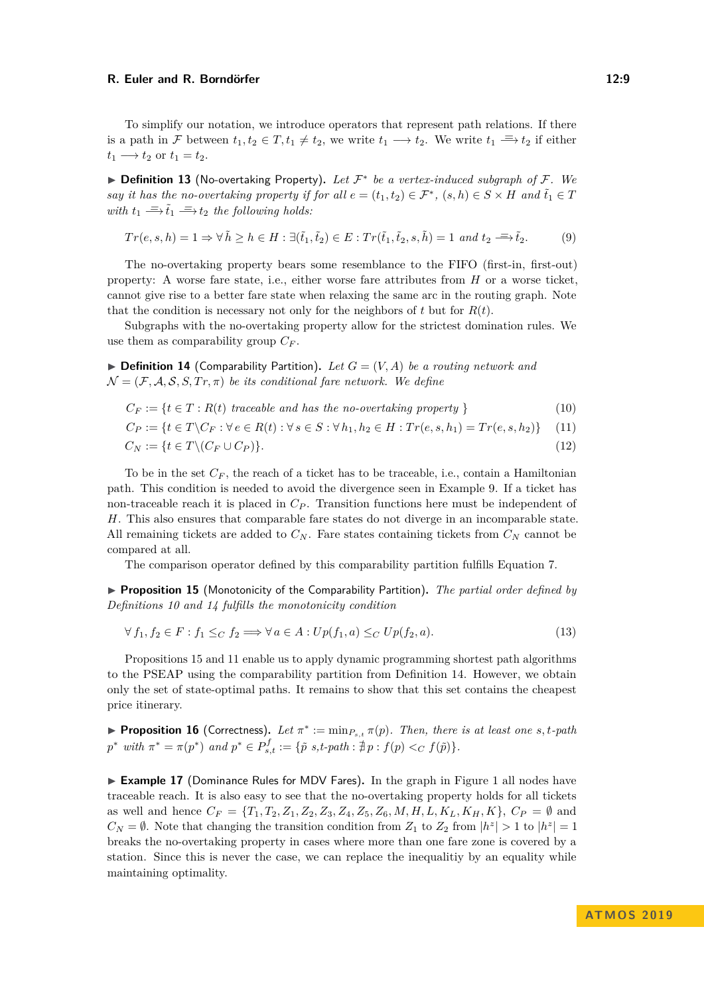#### **R. Euler and R. Borndörfer** 12:9

To simplify our notation, we introduce operators that represent path relations. If there is a path in F between  $t_1, t_2 \in T$ ,  $t_1 \neq t_2$ , we write  $t_1 \longrightarrow t_2$ . We write  $t_1 \equiv t_2$  if either  $t_1 \longrightarrow t_2$  or  $t_1 = t_2$ .

▶ **Definition 13** (No-overtaking Property). Let  $\mathcal{F}^*$  be a vertex-induced subgraph of  $\mathcal{F}$ . We *say it has the no-overtaking property if for all*  $e = (t_1, t_2) \in \mathcal{F}^*$ *,*  $(s, h) \in S \times H$  *and*  $\tilde{t}_1 \in T$ *with*  $t_1 \stackrel{\equiv}{\Longrightarrow} \tilde{t}_1 \stackrel{\equiv}{\Longrightarrow} t_2$  *the following holds:* 

$$
Tr(e, s, h) = 1 \Rightarrow \forall \tilde{h} \ge h \in H : \exists (\tilde{t}_1, \tilde{t}_2) \in E : Tr(\tilde{t}_1, \tilde{t}_2, s, \tilde{h}) = 1 \text{ and } t_2 \stackrel{d}{\implies} \tilde{t}_2.
$$
 (9)

The no-overtaking property bears some resemblance to the FIFO (first-in, first-out) property: A worse fare state, i.e., either worse fare attributes from *H* or a worse ticket, cannot give rise to a better fare state when relaxing the same arc in the routing graph. Note that the condition is necessary not only for the neighbors of  $t$  but for  $R(t)$ .

Subgraphs with the no-overtaking property allow for the strictest domination rules. We use them as comparability group  $C_F$ .

<span id="page-8-1"></span> $\triangleright$  **Definition 14** (Comparability Partition). Let  $G = (V, A)$  be a routing network and  $\mathcal{N} = (\mathcal{F}, \mathcal{A}, \mathcal{S}, S, Tr, \pi)$  *be its conditional fare network. We define* 

$$
C_F := \{ t \in T : R(t) \text{ traceable and has the no-over taking property } \}
$$
 (10)

 $C_P := \{t \in T \setminus C_F : \forall e \in R(t) : \forall s \in S : \forall h_1, h_2 \in H : Tr(e, s, h_1) = Tr(e, s, h_2)\}$  (11)

$$
C_N := \{ t \in T \setminus (C_F \cup C_P) \}. \tag{12}
$$

To be in the set  $C_F$ , the reach of a ticket has to be traceable, i.e., contain a Hamiltonian path. This condition is needed to avoid the divergence seen in Example [9.](#page-5-0) If a ticket has non-traceable reach it is placed in  $C_P$ . Transition functions here must be independent of *H*. This also ensures that comparable fare states do not diverge in an incomparable state. All remaining tickets are added to  $C_N$ . Fare states containing tickets from  $C_N$  cannot be compared at all.

The comparison operator defined by this comparability partition fulfills Equation [7.](#page-7-2)

<span id="page-8-2"></span>I **Proposition 15** (Monotonicity of the Comparability Partition)**.** *The partial order defined by Definitions [10](#page-7-3) and [14](#page-8-1) fulfills the monotonicity condition*

$$
\forall f_1, f_2 \in F : f_1 \leq_C f_2 \Longrightarrow \forall a \in A : Up(f_1, a) \leq_C Up(f_2, a). \tag{13}
$$

Propositions [15](#page-8-2) and [11](#page-7-1) enable us to apply dynamic programming shortest path algorithms to the PSEAP using the comparability partition from Definition [14.](#page-8-1) However, we obtain only the set of state-optimal paths. It remains to show that this set contains the cheapest price itinerary.

<span id="page-8-0"></span>**Proposition 16** (Correctness). Let  $\pi^* := \min_{P_{s,t}} \pi(p)$ . Then, there is at least one  $s, t$ -path  $p^*$  *with*  $\pi^* = \pi(p^*)$  *and*  $p^* \in P_{s,t}^f := \{\tilde{p} \ s, t\text{-path} : \nexists p : f(p) <_C f(\tilde{p})\}.$ 

► **Example [1](#page-4-0)7** (Dominance Rules for MDV Fares). In the graph in Figure 1 all nodes have traceable reach. It is also easy to see that the no-overtaking property holds for all tickets as well and hence  $C_F = \{T_1, T_2, Z_1, Z_2, Z_3, Z_4, Z_5, Z_6, M, H, L, K_L, K_H, K\}, C_P = \emptyset$  and  $C_N = \emptyset$ . Note that changing the transition condition from  $Z_1$  to  $Z_2$  from  $|h^z| > 1$  to  $|h^z| = 1$ breaks the no-overtaking property in cases where more than one fare zone is covered by a station. Since this is never the case, we can replace the inequalitiy by an equality while maintaining optimality.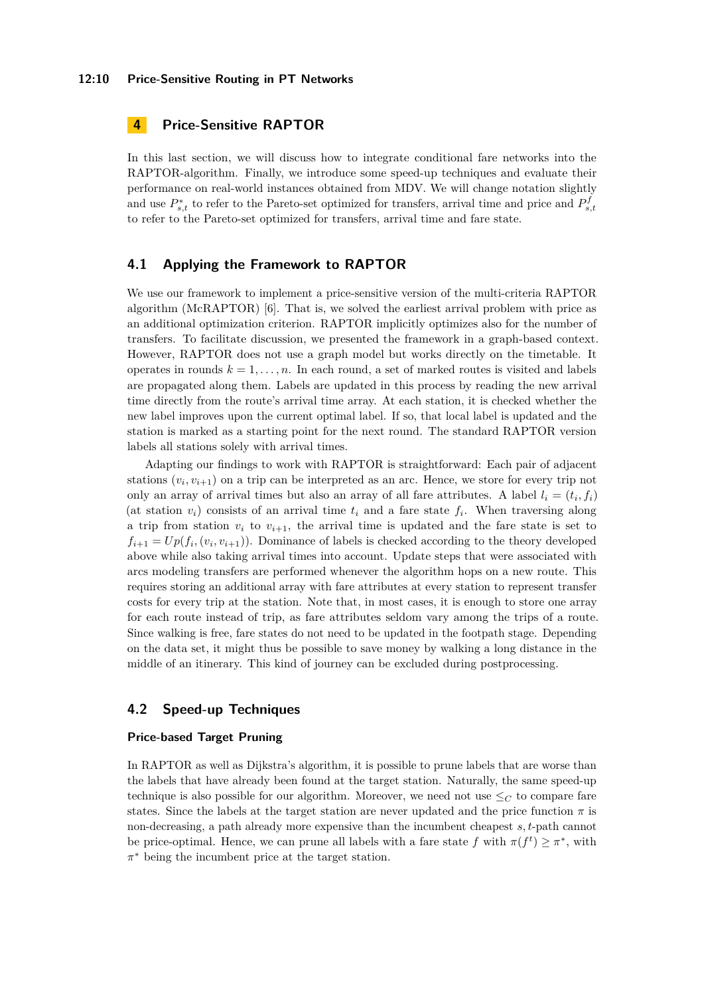#### **12:10 Price-Sensitive Routing in PT Networks**

# **4 Price-Sensitive RAPTOR**

In this last section, we will discuss how to integrate conditional fare networks into the RAPTOR-algorithm. Finally, we introduce some speed-up techniques and evaluate their performance on real-world instances obtained from MDV. We will change notation slightly and use  $P_{s,t}^*$  to refer to the Pareto-set optimized for transfers, arrival time and price and  $P_{s,t}^f$ to refer to the Pareto-set optimized for transfers, arrival time and fare state.

### **4.1 Applying the Framework to RAPTOR**

We use our framework to implement a price-sensitive version of the multi-criteria RAPTOR algorithm (McRAPTOR) [\[6\]](#page-12-4). That is, we solved the earliest arrival problem with price as an additional optimization criterion. RAPTOR implicitly optimizes also for the number of transfers. To facilitate discussion, we presented the framework in a graph-based context. However, RAPTOR does not use a graph model but works directly on the timetable. It operates in rounds  $k = 1, \ldots, n$ . In each round, a set of marked routes is visited and labels are propagated along them. Labels are updated in this process by reading the new arrival time directly from the route's arrival time array. At each station, it is checked whether the new label improves upon the current optimal label. If so, that local label is updated and the station is marked as a starting point for the next round. The standard RAPTOR version labels all stations solely with arrival times.

Adapting our findings to work with RAPTOR is straightforward: Each pair of adjacent stations  $(v_i, v_{i+1})$  on a trip can be interpreted as an arc. Hence, we store for every trip not only an array of arrival times but also an array of all fare attributes. A label  $l_i = (t_i, f_i)$ (at station  $v_i$ ) consists of an arrival time  $t_i$  and a fare state  $f_i$ . When traversing along a trip from station  $v_i$  to  $v_{i+1}$ , the arrival time is updated and the fare state is set to  $f_{i+1} = Up(f_i, (v_i, v_{i+1}))$ . Dominance of labels is checked according to the theory developed above while also taking arrival times into account. Update steps that were associated with arcs modeling transfers are performed whenever the algorithm hops on a new route. This requires storing an additional array with fare attributes at every station to represent transfer costs for every trip at the station. Note that, in most cases, it is enough to store one array for each route instead of trip, as fare attributes seldom vary among the trips of a route. Since walking is free, fare states do not need to be updated in the footpath stage. Depending on the data set, it might thus be possible to save money by walking a long distance in the middle of an itinerary. This kind of journey can be excluded during postprocessing.

# **4.2 Speed-up Techniques**

#### <span id="page-9-0"></span>**Price-based Target Pruning**

In RAPTOR as well as Dijkstra's algorithm, it is possible to prune labels that are worse than the labels that have already been found at the target station. Naturally, the same speed-up technique is also possible for our algorithm. Moreover, we need not use  $\leq_C$  to compare fare states. Since the labels at the target station are never updated and the price function  $\pi$  is non-decreasing, a path already more expensive than the incumbent cheapest *s, t*-path cannot be price-optimal. Hence, we can prune all labels with a fare state  $f$  with  $\pi(f^t) \geq \pi^*$ , with *π* <sup>∗</sup> being the incumbent price at the target station.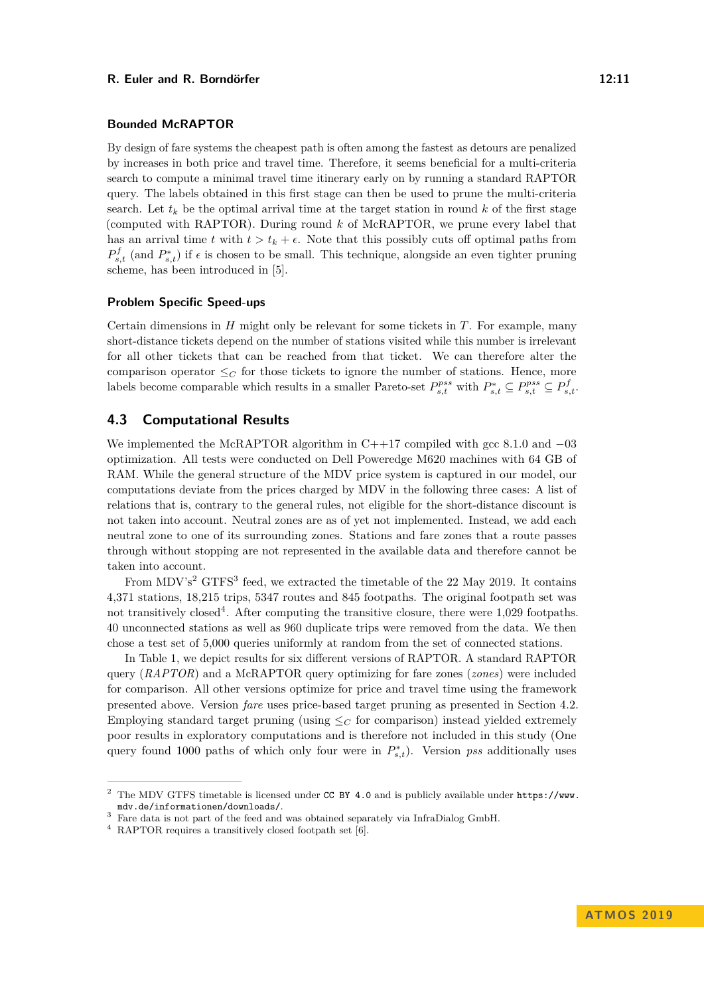#### **R. Euler and R. Borndörfer** 12:11

#### **Bounded McRAPTOR**

By design of fare systems the cheapest path is often among the fastest as detours are penalized by increases in both price and travel time. Therefore, it seems beneficial for a multi-criteria search to compute a minimal travel time itinerary early on by running a standard RAPTOR query. The labels obtained in this first stage can then be used to prune the multi-criteria search. Let  $t_k$  be the optimal arrival time at the target station in round  $k$  of the first stage (computed with RAPTOR). During round *k* of McRAPTOR, we prune every label that has an arrival time *t* with  $t > t_k + \epsilon$ . Note that this possibly cuts off optimal paths from  $P_{s,t}^f$  (and  $P_{s,t}^*$ ) if  $\epsilon$  is chosen to be small. This technique, alongside an even tighter pruning scheme, has been introduced in [\[5\]](#page-12-5).

### **Problem Specific Speed-ups**

Certain dimensions in *H* might only be relevant for some tickets in *T*. For example, many short-distance tickets depend on the number of stations visited while this number is irrelevant for all other tickets that can be reached from that ticket. We can therefore alter the comparison operator  $\leq_C$  for those tickets to ignore the number of stations. Hence, more labels become comparable which results in a smaller Pareto-set  $P_{s,t}^{pss}$  with  $P_{s,t}^* \subseteq P_{s,t}^{pss} \subseteq P_{s,t}^f$ .

### **4.3 Computational Results**

We implemented the McRAPTOR algorithm in  $C++17$  compiled with gcc 8.1.0 and  $-03$ optimization. All tests were conducted on Dell Poweredge M620 machines with 64 GB of RAM. While the general structure of the MDV price system is captured in our model, our computations deviate from the prices charged by MDV in the following three cases: A list of relations that is, contrary to the general rules, not eligible for the short-distance discount is not taken into account. Neutral zones are as of yet not implemented. Instead, we add each neutral zone to one of its surrounding zones. Stations and fare zones that a route passes through without stopping are not represented in the available data and therefore cannot be taken into account.

From MDV's<sup>[2](#page-10-0)</sup> GTFS<sup>[3](#page-10-1)</sup> feed, we extracted the timetable of the 22 May 2019. It contains 4,371 stations, 18,215 trips, 5347 routes and 845 footpaths. The original footpath set was not transitively closed<sup>[4](#page-10-2)</sup>. After computing the transitive closure, there were  $1,029$  footpaths. 40 unconnected stations as well as 960 duplicate trips were removed from the data. We then chose a test set of 5,000 queries uniformly at random from the set of connected stations.

In Table [1,](#page-11-0) we depict results for six different versions of RAPTOR. A standard RAPTOR query (*RAPTOR*) and a McRAPTOR query optimizing for fare zones (*zones*) were included for comparison. All other versions optimize for price and travel time using the framework presented above. Version *fare* uses price-based target pruning as presented in Section [4.2.](#page-9-0) Employing standard target pruning (using  $\leq_C$  for comparison) instead yielded extremely poor results in exploratory computations and is therefore not included in this study (One query found 1000 paths of which only four were in  $P_{s,t}^*$ ). Version *pss* additionally uses

<span id="page-10-0"></span><sup>2</sup> The MDV GTFS timetable is licensed under [CC BY 4.0](https://creativecommons.org/licenses/by/4.0/) and is publicly available under [https://www.](https://www.mdv.de/informationen/downloads/) [mdv.de/informationen/downloads/](https://www.mdv.de/informationen/downloads/).

<span id="page-10-1"></span><sup>3</sup> Fare data is not part of the feed and was obtained separately via InfraDialog GmbH.

<span id="page-10-2"></span><sup>4</sup> RAPTOR requires a transitively closed footpath set [\[6\]](#page-12-4).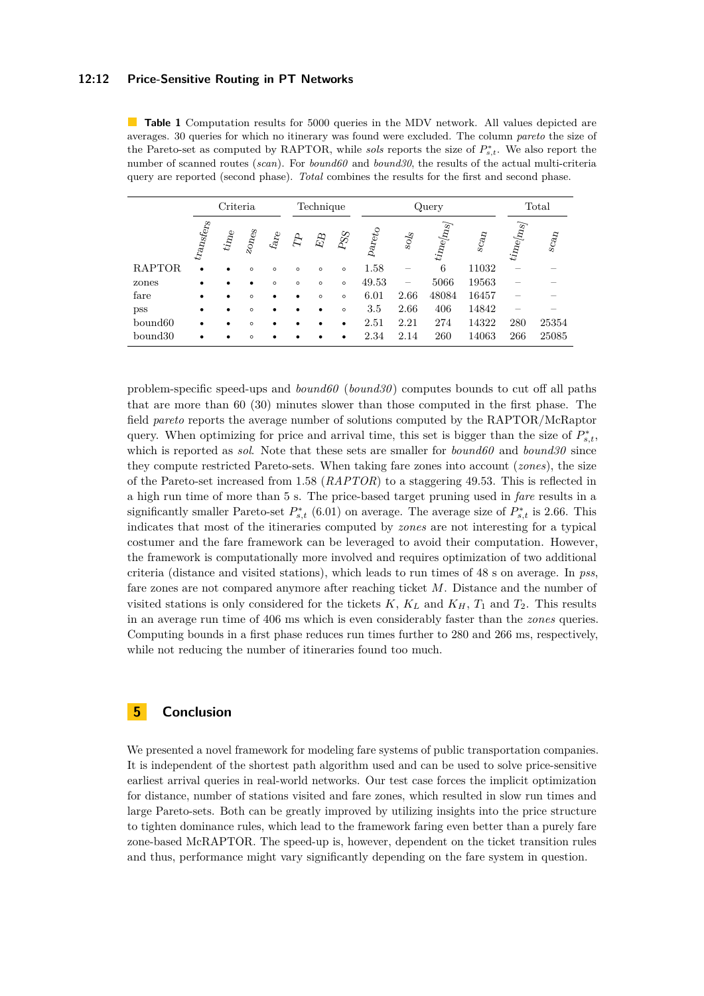#### **12:12 Price-Sensitive Routing in PT Networks**

<span id="page-11-0"></span>**Table 1** Computation results for 5000 queries in the MDV network. All values depicted are averages. 30 queries for which no itinerary was found were excluded. The column *pareto* the size of the Pareto-set as computed by RAPTOR, while *sols* reports the size of  $P_{s,t}^*$ . We also report the number of scanned routes (*scan*). For *bound60* and *bound30*, the results of the actual multi-criteria query are reported (second phase). *Total* combines the results for the first and second phase.

|                     | Criteria                                 |                    |                  |                                                     | Technique     |           |                 | Query         |              |                                |                                     | Total                   |                                            |
|---------------------|------------------------------------------|--------------------|------------------|-----------------------------------------------------|---------------|-----------|-----------------|---------------|--------------|--------------------------------|-------------------------------------|-------------------------|--------------------------------------------|
|                     | $\mathit{tr}_\mathit{Angf}_\mathit{Crs}$ | $t_{i n_{\rm{e}}}$ | $z_{O\!I\!O\!S}$ | $\ensuremath{\mathit{far}}_\ensuremath{\mathit{e}}$ | $\mathcal{L}$ | $\vec{E}$ | $\mathcal{PSS}$ | ${\it Parto}$ | $\rm {so/s}$ | $\it{i\rm{in}}$ e $\it{[m_S]}$ | $\mathcal{S}\mathcal{C}\mathcal{A}$ | $\it{time}_{\rm [Ins]}$ | $\mathbf{S}\mathbf{C}\mathbf{a}\mathbf{D}$ |
| RAPTOR              | $\bullet$                                | $\bullet$          | $\circ$          | $\circ$                                             | $\circ$       | $\circ$   | $\circ$         | 1.58          |              | 6                              | 11032                               |                         |                                            |
| zones               | ٠                                        | $\bullet$          | $\bullet$        | $\circ$                                             | $\circ$       | $\circ$   | $\circ$         | 49.53         |              | 5066                           | 19563                               |                         |                                            |
| fare                | ٠                                        | ٠                  | $\circ$          | ٠                                                   |               | $\circ$   | $\circ$         | 6.01          | 2.66         | 48084                          | 16457                               |                         |                                            |
| <b>pss</b>          | ٠                                        | $\bullet$          | $\circ$          | $\bullet$                                           |               |           | $\circ$         | 3.5           | 2.66         | 406                            | 14842                               |                         |                                            |
| bound <sub>60</sub> | ٠                                        | $\bullet$          | $\circ$          |                                                     |               |           |                 | 2.51          | 2.21         | 274                            | 14322                               | 280                     | 25354                                      |
| bound30             |                                          | ٠                  | $\circ$          |                                                     |               |           |                 | 2.34          | 2.14         | 260                            | 14063                               | 266                     | 25085                                      |
|                     |                                          |                    |                  |                                                     |               |           |                 |               |              |                                |                                     |                         |                                            |

problem-specific speed-ups and *bound60* (*bound30* ) computes bounds to cut off all paths that are more than 60 (30) minutes slower than those computed in the first phase. The field *pareto* reports the average number of solutions computed by the RAPTOR/McRaptor query. When optimizing for price and arrival time, this set is bigger than the size of  $P_{s,t}^*$ , which is reported as *sol*. Note that these sets are smaller for *bound60* and *bound30* since they compute restricted Pareto-sets. When taking fare zones into account (*zones*), the size of the Pareto-set increased from 1.58 (*RAPTOR*) to a staggering 49.53. This is reflected in a high run time of more than 5 s. The price-based target pruning used in *fare* results in a significantly smaller Pareto-set  $P_{s,t}^*$  (6.01) on average. The average size of  $P_{s,t}^*$  is 2.66. This indicates that most of the itineraries computed by *zones* are not interesting for a typical costumer and the fare framework can be leveraged to avoid their computation. However, the framework is computationally more involved and requires optimization of two additional criteria (distance and visited stations), which leads to run times of 48 s on average. In *pss*, fare zones are not compared anymore after reaching ticket *M*. Distance and the number of visited stations is only considered for the tickets  $K$ ,  $K_L$  and  $K_H$ ,  $T_1$  and  $T_2$ . This results in an average run time of 406 ms which is even considerably faster than the *zones* queries. Computing bounds in a first phase reduces run times further to 280 and 266 ms, respectively, while not reducing the number of itineraries found too much.

# **5 Conclusion**

We presented a novel framework for modeling fare systems of public transportation companies. It is independent of the shortest path algorithm used and can be used to solve price-sensitive earliest arrival queries in real-world networks. Our test case forces the implicit optimization for distance, number of stations visited and fare zones, which resulted in slow run times and large Pareto-sets. Both can be greatly improved by utilizing insights into the price structure to tighten dominance rules, which lead to the framework faring even better than a purely fare zone-based McRAPTOR. The speed-up is, however, dependent on the ticket transition rules and thus, performance might vary significantly depending on the fare system in question.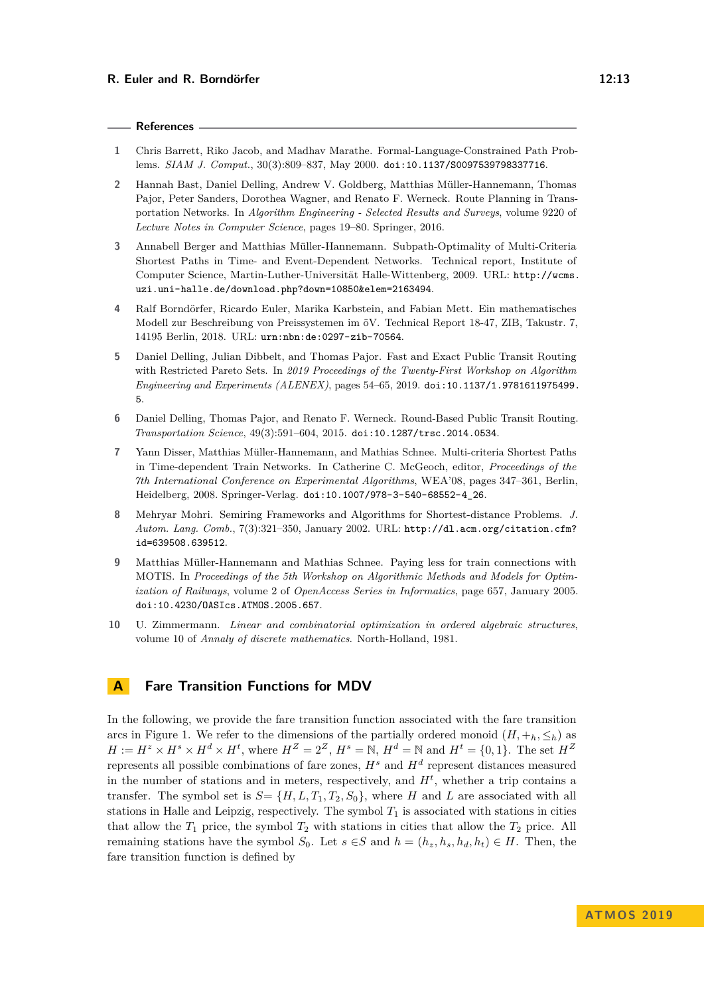#### **References**

- <span id="page-12-7"></span>**1** Chris Barrett, Riko Jacob, and Madhav Marathe. Formal-Language-Constrained Path Problems. *SIAM J. Comput.*, 30(3):809–837, May 2000. [doi:10.1137/S0097539798337716](https://doi.org/10.1137/S0097539798337716).
- <span id="page-12-0"></span>**2** Hannah Bast, Daniel Delling, Andrew V. Goldberg, Matthias Müller-Hannemann, Thomas Pajor, Peter Sanders, Dorothea Wagner, and Renato F. Werneck. Route Planning in Transportation Networks. In *Algorithm Engineering - Selected Results and Surveys*, volume 9220 of *Lecture Notes in Computer Science*, pages 19–80. Springer, 2016.
- <span id="page-12-6"></span>**3** Annabell Berger and Matthias Müller-Hannemann. Subpath-Optimality of Multi-Criteria Shortest Paths in Time- and Event-Dependent Networks. Technical report, Institute of Computer Science, Martin-Luther-Universität Halle-Wittenberg, 2009. URL: [http://wcms.](http://wcms.uzi.uni-halle.de/download.php?down=10850&elem=2163494) [uzi.uni-halle.de/download.php?down=10850&elem=2163494](http://wcms.uzi.uni-halle.de/download.php?down=10850&elem=2163494).
- <span id="page-12-8"></span>**4** Ralf Borndörfer, Ricardo Euler, Marika Karbstein, and Fabian Mett. Ein mathematisches Modell zur Beschreibung von Preissystemen im öV. Technical Report 18-47, ZIB, Takustr. 7, 14195 Berlin, 2018. URL: <urn:nbn:de:0297-zib-70564>.
- <span id="page-12-5"></span>**5** Daniel Delling, Julian Dibbelt, and Thomas Pajor. Fast and Exact Public Transit Routing with Restricted Pareto Sets. In *2019 Proceedings of the Twenty-First Workshop on Algorithm Engineering and Experiments (ALENEX)*, pages 54–65, 2019. [doi:10.1137/1.9781611975499.](https://doi.org/10.1137/1.9781611975499.5) [5](https://doi.org/10.1137/1.9781611975499.5).
- <span id="page-12-4"></span>**6** Daniel Delling, Thomas Pajor, and Renato F. Werneck. Round-Based Public Transit Routing. *Transportation Science*, 49(3):591–604, 2015. [doi:10.1287/trsc.2014.0534](https://doi.org/10.1287/trsc.2014.0534).
- <span id="page-12-9"></span>**7** Yann Disser, Matthias Müller-Hannemann, and Mathias Schnee. Multi-criteria Shortest Paths in Time-dependent Train Networks. In Catherine C. McGeoch, editor, *Proceedings of the 7th International Conference on Experimental Algorithms*, WEA'08, pages 347–361, Berlin, Heidelberg, 2008. Springer-Verlag. [doi:10.1007/978-3-540-68552-4\\_26](https://doi.org/10.1007/978-3-540-68552-4_26).
- <span id="page-12-2"></span>**8** Mehryar Mohri. Semiring Frameworks and Algorithms for Shortest-distance Problems. *J. Autom. Lang. Comb.*, 7(3):321–350, January 2002. URL: [http://dl.acm.org/citation.cfm?](http://dl.acm.org/citation.cfm?id=639508.639512) [id=639508.639512](http://dl.acm.org/citation.cfm?id=639508.639512).
- <span id="page-12-3"></span>**9** Matthias Müller-Hannemann and Mathias Schnee. Paying less for train connections with MOTIS. In *Proceedings of the 5th Workshop on Algorithmic Methods and Models for Optimization of Railways*, volume 2 of *OpenAccess Series in Informatics*, page 657, January 2005. [doi:10.4230/OASIcs.ATMOS.2005.657](https://doi.org/10.4230/OASIcs.ATMOS.2005.657).
- <span id="page-12-1"></span>**10** U. Zimmermann. *Linear and combinatorial optimization in ordered algebraic structures*, volume 10 of *Annaly of discrete mathematics*. North-Holland, 1981.

### **A Fare Transition Functions for MDV**

In the following, we provide the fare transition function associated with the fare transition arcs in Figure [1.](#page-4-0) We refer to the dimensions of the partially ordered monoid  $(H, +h, \leq_h)$  as  $H := H^z \times H^s \times H^d \times H^t$ , where  $H^Z = 2^Z$ ,  $H^s = \mathbb{N}$ ,  $H^d = \mathbb{N}$  and  $H^t = \{0, 1\}$ . The set  $H^Z$ represents all possible combinations of fare zones, *H<sup>s</sup>* and *H<sup>d</sup>* represent distances measured in the number of stations and in meters, respectively, and  $H<sup>t</sup>$ , whether a trip contains a transfer. The symbol set is  $S = \{H, L, T_1, T_2, S_0\}$ , where *H* and *L* are associated with all stations in Halle and Leipzig, respectively. The symbol  $T_1$  is associated with stations in cities that allow the  $T_1$  price, the symbol  $T_2$  with stations in cities that allow the  $T_2$  price. All remaining stations have the symbol  $S_0$ . Let  $s \in S$  and  $h = (h_z, h_s, h_d, h_t) \in H$ . Then, the fare transition function is defined by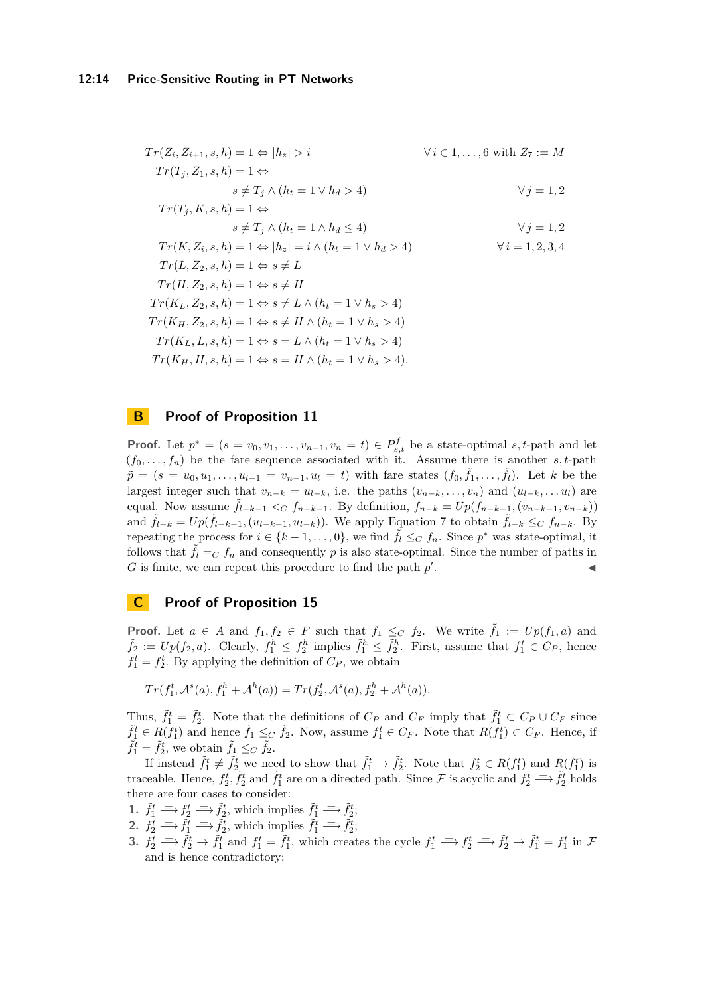$$
Tr(Z_i, Z_{i+1}, s, h) = 1 \Leftrightarrow |h_z| > i \qquad \forall i \in 1, ..., 6 \text{ with } Z_7 := M
$$
  

$$
Tr(T_j, Z_1, s, h) = 1 \Leftrightarrow
$$

$$
s \neq T_j \land (h_t = 1 \lor h_d > 4) \qquad \forall j = 1, 2
$$

$$
Tr(T_j, K, s, h) = 1 \Leftrightarrow
$$
  
 
$$
s \neq T_j \wedge (h_t = 1 \wedge h_d \leq 4)
$$
  
 
$$
\forall j = 1, 2
$$

$$
Tr(K, Z_i, s, h) = 1 \Leftrightarrow |h_z| = i \wedge (h_t = 1 \vee h_d > 4)
$$
  
\n
$$
Tr(L, Z_2, s, h) = 1 \Leftrightarrow s \neq L
$$
  
\n
$$
Tr(H, Z_2, s, h) = 1 \Leftrightarrow s \neq H
$$
  
\n
$$
Tr(K_L, Z_2, s, h) = 1 \Leftrightarrow s \neq L \wedge (h_t = 1 \vee h_s > 4)
$$
  
\n
$$
Tr(K_H, Z_2, s, h) = 1 \Leftrightarrow s \neq H \wedge (h_t = 1 \vee h_s > 4)
$$
  
\n
$$
Tr(K_L, L, s, h) = 1 \Leftrightarrow s = L \wedge (h_t = 1 \vee h_s > 4)
$$
  
\n
$$
Tr(K_H, H, s, h) = 1 \Leftrightarrow s = H \wedge (h_t = 1 \vee h_s > 4).
$$

# **B Proof of Proposition [11](#page-7-1)**

**Proof.** Let  $p^* = (s = v_0, v_1, \ldots, v_{n-1}, v_n = t) \in P_{s,t}^f$  be a state-optimal *s*, *t*-path and let  $(f_0, \ldots, f_n)$  be the fare sequence associated with it. Assume there is another *s*, *t*-path  $\tilde{p} = (s = u_0, u_1, \dots, u_{l-1} = v_{n-1}, u_l = t)$  with fare states  $(f_0, \tilde{f}_1, \dots, \tilde{f}_l)$ . Let k be the largest integer such that  $v_{n-k} = u_{l-k}$ , i.e. the paths  $(v_{n-k}, \ldots, v_n)$  and  $(u_{l-k}, \ldots, u_l)$  are equal. Now assume  $\tilde{f}_{l-k-1} <_C f_{n-k-1}$ . By definition,  $f_{n-k} = Up(f_{n-k-1}, (v_{n-k-1}, v_{n-k}))$ and  $\tilde{f}_{l-k} = Up(\tilde{f}_{l-k-1}, (u_{l-k-1}, u_{l-k}))$ . We apply Equation [7](#page-7-2) to obtain  $\tilde{f}_{l-k} \leq_C f_{n-k}$ . By repeating the process for  $i \in \{k-1, \ldots, 0\}$ , we find  $\tilde{f}_l \leq_C f_n$ . Since  $p^*$  was state-optimal, it follows that  $\tilde{f}_l = C f_n$  and consequently p is also state-optimal. Since the number of paths in  $G$  is finite, we can repeat this procedure to find the path  $p'$ . John Stein Stein Stein Stein Stein Stein Stein Stein Stein Stein Stein Stein Stein Stein Stein Stein Stein S<br>John Stein Stein Stein Stein Stein Stein Stein Stein Stein Stein Stein Stein Stein Stein Stein Stein Stein Ste

# **C Proof of Proposition [15](#page-8-2)**

**Proof.** Let  $a \in A$  and  $f_1, f_2 \in F$  such that  $f_1 \leq_C f_2$ . We write  $\tilde{f}_1 := Up(f_1, a)$  and  $\tilde{f}_2 := Up(f_2, a)$ . Clearly,  $f_1^h \leq f_2^h$  implies  $\tilde{f}_1^h \leq \tilde{f}_2^h$ . First, assume that  $f_1^t \in C_P$ , hence  $f_1^t = f_2^t$ . By applying the definition of  $C_P$ , we obtain

$$
Tr(f_1^t, \mathcal{A}^s(a), f_1^h + \mathcal{A}^h(a)) = Tr(f_2^t, \mathcal{A}^s(a), f_2^h + \mathcal{A}^h(a)).
$$

Thus,  $\tilde{f}_1^t = \tilde{f}_2^t$ . Note that the definitions of  $C_P$  and  $C_F$  imply that  $\tilde{f}_1^t \subset C_P \cup C_F$  since  $\tilde{f}_1^t \in R(f_1^t)$  and hence  $\tilde{f}_1 \leq_C \tilde{f}_2$ . Now, assume  $f_1^t \in C_F$ . Note that  $R(f_1^t) \subset C_F$ . Hence, if  $\tilde{f}_1^t = \tilde{f}_2^t$ , we obtain  $\tilde{f}_1 \leq_C \tilde{f}_2$ .

If instead  $\tilde{f}_1^t \neq \tilde{f}_2^t$  we need to show that  $\tilde{f}_1^t \to \tilde{f}_2^t$ . Note that  $f_2^t \in R(f_1^t)$  and  $R(f_1^t)$  is traceable. Hence,  $f_2^t$ ,  $\tilde{f}_2^t$  and  $\tilde{f}_1^t$  are on a directed path. Since F is acyclic and  $f_2^t \equiv \tilde{f}_2^t$  holds there are four cases to consider:

- 1.  $\tilde{f}_1^t \implies f_2^t \implies \tilde{f}_2^t$ , which implies  $\tilde{f}_1^t \implies \tilde{f}_2^t$ ;
- 2.  $f_2^t \implies \tilde{f}_1^t \implies \tilde{f}_2^t$ , which implies  $\tilde{f}_1^t \implies \tilde{f}_2^t$ ;
- 3.  $f_2^t \Rightarrow \tilde{f}_2^t \rightarrow \tilde{f}_1^t$  and  $f_1^t = \tilde{f}_1^t$ , which creates the cycle  $f_1^t \Rightarrow f_2^t \Rightarrow \tilde{f}_2^t \rightarrow \tilde{f}_1^t = f_1^t$  in  $\mathcal{F}_1$ and is hence contradictory;